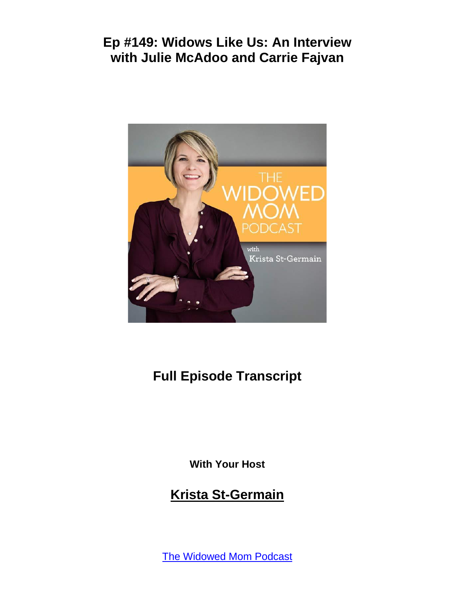

# **Full Episode Transcript**

**With Your Host**

# **Krista St-Germain**

[The Widowed Mom Podcast](https://coachingwithkrista.com/podcast)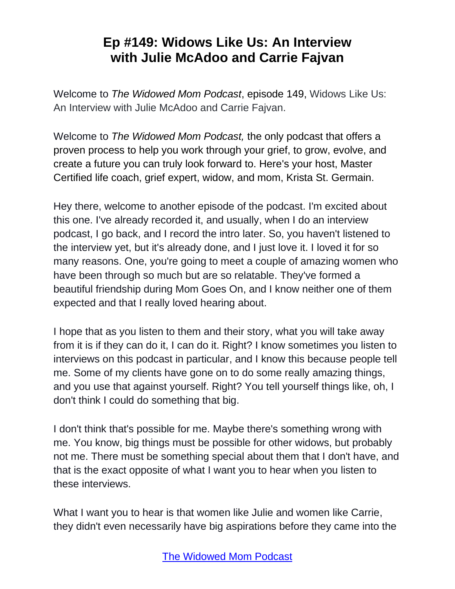Welcome to *The Widowed Mom Podcast*, episode 149, Widows Like Us: An Interview with Julie McAdoo and Carrie Fajvan.

Welcome to *The Widowed Mom Podcast,* the only podcast that offers a proven process to help you work through your grief, to grow, evolve, and create a future you can truly look forward to. Here's your host, Master Certified life coach, grief expert, widow, and mom, Krista St. Germain.

Hey there, welcome to another episode of the podcast. I'm excited about this one. I've already recorded it, and usually, when I do an interview podcast, I go back, and I record the intro later. So, you haven't listened to the interview yet, but it's already done, and I just love it. I loved it for so many reasons. One, you're going to meet a couple of amazing women who have been through so much but are so relatable. They've formed a beautiful friendship during Mom Goes On, and I know neither one of them expected and that I really loved hearing about.

I hope that as you listen to them and their story, what you will take away from it is if they can do it, I can do it. Right? I know sometimes you listen to interviews on this podcast in particular, and I know this because people tell me. Some of my clients have gone on to do some really amazing things, and you use that against yourself. Right? You tell yourself things like, oh, I don't think I could do something that big.

I don't think that's possible for me. Maybe there's something wrong with me. You know, big things must be possible for other widows, but probably not me. There must be something special about them that I don't have, and that is the exact opposite of what I want you to hear when you listen to these interviews.

What I want you to hear is that women like Julie and women like Carrie, they didn't even necessarily have big aspirations before they came into the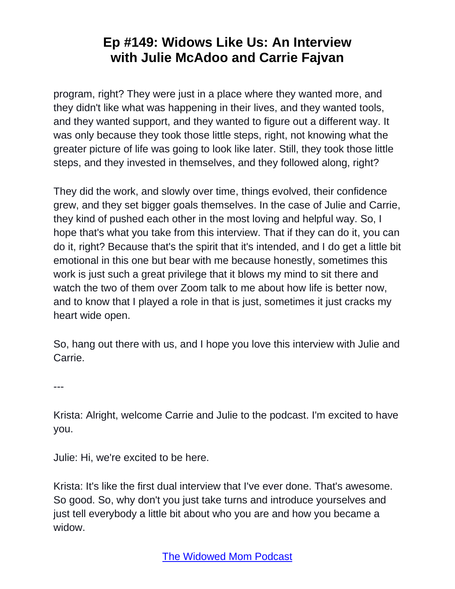program, right? They were just in a place where they wanted more, and they didn't like what was happening in their lives, and they wanted tools, and they wanted support, and they wanted to figure out a different way. It was only because they took those little steps, right, not knowing what the greater picture of life was going to look like later. Still, they took those little steps, and they invested in themselves, and they followed along, right?

They did the work, and slowly over time, things evolved, their confidence grew, and they set bigger goals themselves. In the case of Julie and Carrie, they kind of pushed each other in the most loving and helpful way. So, I hope that's what you take from this interview. That if they can do it, you can do it, right? Because that's the spirit that it's intended, and I do get a little bit emotional in this one but bear with me because honestly, sometimes this work is just such a great privilege that it blows my mind to sit there and watch the two of them over Zoom talk to me about how life is better now, and to know that I played a role in that is just, sometimes it just cracks my heart wide open.

So, hang out there with us, and I hope you love this interview with Julie and Carrie.

---

Krista: Alright, welcome Carrie and Julie to the podcast. I'm excited to have you.

Julie: Hi, we're excited to be here.

Krista: It's like the first dual interview that I've ever done. That's awesome. So good. So, why don't you just take turns and introduce yourselves and just tell everybody a little bit about who you are and how you became a widow.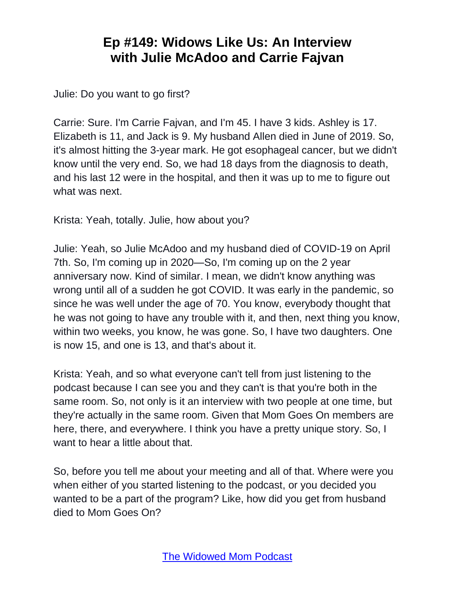Julie: Do you want to go first?

Carrie: Sure. I'm Carrie Fajvan, and I'm 45. I have 3 kids. Ashley is 17. Elizabeth is 11, and Jack is 9. My husband Allen died in June of 2019. So, it's almost hitting the 3-year mark. He got esophageal cancer, but we didn't know until the very end. So, we had 18 days from the diagnosis to death, and his last 12 were in the hospital, and then it was up to me to figure out what was next.

Krista: Yeah, totally. Julie, how about you?

Julie: Yeah, so Julie McAdoo and my husband died of COVID-19 on April 7th. So, I'm coming up in 2020—So, I'm coming up on the 2 year anniversary now. Kind of similar. I mean, we didn't know anything was wrong until all of a sudden he got COVID. It was early in the pandemic, so since he was well under the age of 70. You know, everybody thought that he was not going to have any trouble with it, and then, next thing you know, within two weeks, you know, he was gone. So, I have two daughters. One is now 15, and one is 13, and that's about it.

Krista: Yeah, and so what everyone can't tell from just listening to the podcast because I can see you and they can't is that you're both in the same room. So, not only is it an interview with two people at one time, but they're actually in the same room. Given that Mom Goes On members are here, there, and everywhere. I think you have a pretty unique story. So, I want to hear a little about that.

So, before you tell me about your meeting and all of that. Where were you when either of you started listening to the podcast, or you decided you wanted to be a part of the program? Like, how did you get from husband died to Mom Goes On?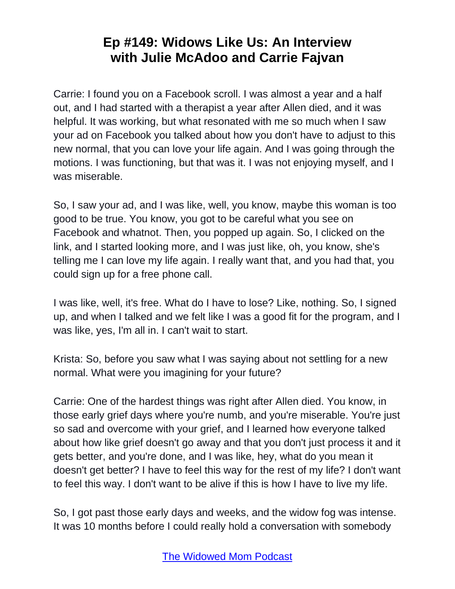Carrie: I found you on a Facebook scroll. I was almost a year and a half out, and I had started with a therapist a year after Allen died, and it was helpful. It was working, but what resonated with me so much when I saw your ad on Facebook you talked about how you don't have to adjust to this new normal, that you can love your life again. And I was going through the motions. I was functioning, but that was it. I was not enjoying myself, and I was miserable.

So, I saw your ad, and I was like, well, you know, maybe this woman is too good to be true. You know, you got to be careful what you see on Facebook and whatnot. Then, you popped up again. So, I clicked on the link, and I started looking more, and I was just like, oh, you know, she's telling me I can love my life again. I really want that, and you had that, you could sign up for a free phone call.

I was like, well, it's free. What do I have to lose? Like, nothing. So, I signed up, and when I talked and we felt like I was a good fit for the program, and I was like, yes, I'm all in. I can't wait to start.

Krista: So, before you saw what I was saying about not settling for a new normal. What were you imagining for your future?

Carrie: One of the hardest things was right after Allen died. You know, in those early grief days where you're numb, and you're miserable. You're just so sad and overcome with your grief, and I learned how everyone talked about how like grief doesn't go away and that you don't just process it and it gets better, and you're done, and I was like, hey, what do you mean it doesn't get better? I have to feel this way for the rest of my life? I don't want to feel this way. I don't want to be alive if this is how I have to live my life.

So, I got past those early days and weeks, and the widow fog was intense. It was 10 months before I could really hold a conversation with somebody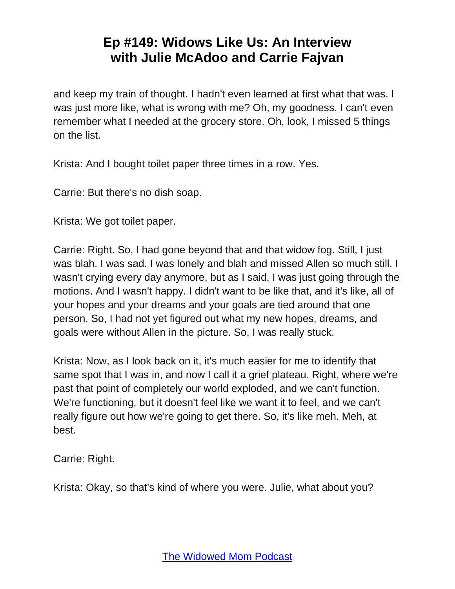and keep my train of thought. I hadn't even learned at first what that was. I was just more like, what is wrong with me? Oh, my goodness. I can't even remember what I needed at the grocery store. Oh, look, I missed 5 things on the list.

Krista: And I bought toilet paper three times in a row. Yes.

Carrie: But there's no dish soap.

Krista: We got toilet paper.

Carrie: Right. So, I had gone beyond that and that widow fog. Still, I just was blah. I was sad. I was lonely and blah and missed Allen so much still. I wasn't crying every day anymore, but as I said, I was just going through the motions. And I wasn't happy. I didn't want to be like that, and it's like, all of your hopes and your dreams and your goals are tied around that one person. So, I had not yet figured out what my new hopes, dreams, and goals were without Allen in the picture. So, I was really stuck.

Krista: Now, as I look back on it, it's much easier for me to identify that same spot that I was in, and now I call it a grief plateau. Right, where we're past that point of completely our world exploded, and we can't function. We're functioning, but it doesn't feel like we want it to feel, and we can't really figure out how we're going to get there. So, it's like meh. Meh, at best.

Carrie: Right.

Krista: Okay, so that's kind of where you were. Julie, what about you?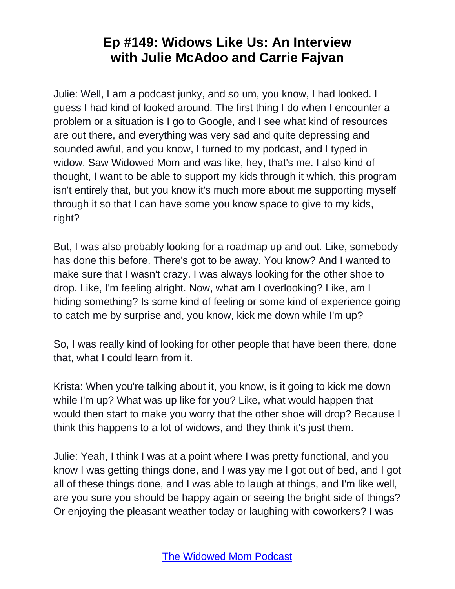Julie: Well, I am a podcast junky, and so um, you know, I had looked. I guess I had kind of looked around. The first thing I do when I encounter a problem or a situation is I go to Google, and I see what kind of resources are out there, and everything was very sad and quite depressing and sounded awful, and you know, I turned to my podcast, and I typed in widow. Saw Widowed Mom and was like, hey, that's me. I also kind of thought, I want to be able to support my kids through it which, this program isn't entirely that, but you know it's much more about me supporting myself through it so that I can have some you know space to give to my kids, right?

But, I was also probably looking for a roadmap up and out. Like, somebody has done this before. There's got to be away. You know? And I wanted to make sure that I wasn't crazy. I was always looking for the other shoe to drop. Like, I'm feeling alright. Now, what am I overlooking? Like, am I hiding something? Is some kind of feeling or some kind of experience going to catch me by surprise and, you know, kick me down while I'm up?

So, I was really kind of looking for other people that have been there, done that, what I could learn from it.

Krista: When you're talking about it, you know, is it going to kick me down while I'm up? What was up like for you? Like, what would happen that would then start to make you worry that the other shoe will drop? Because I think this happens to a lot of widows, and they think it's just them.

Julie: Yeah, I think I was at a point where I was pretty functional, and you know I was getting things done, and I was yay me I got out of bed, and I got all of these things done, and I was able to laugh at things, and I'm like well, are you sure you should be happy again or seeing the bright side of things? Or enjoying the pleasant weather today or laughing with coworkers? I was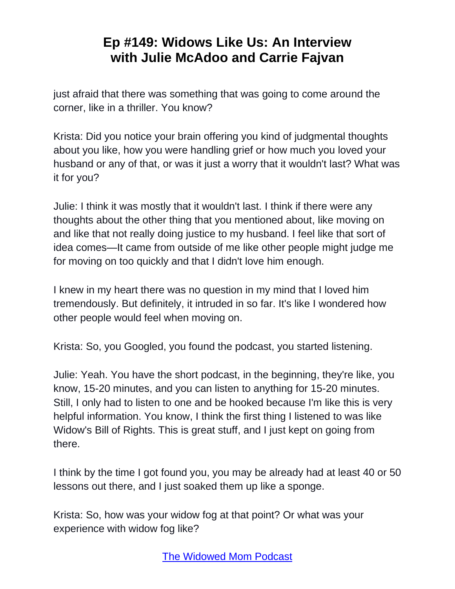just afraid that there was something that was going to come around the corner, like in a thriller. You know?

Krista: Did you notice your brain offering you kind of judgmental thoughts about you like, how you were handling grief or how much you loved your husband or any of that, or was it just a worry that it wouldn't last? What was it for you?

Julie: I think it was mostly that it wouldn't last. I think if there were any thoughts about the other thing that you mentioned about, like moving on and like that not really doing justice to my husband. I feel like that sort of idea comes—It came from outside of me like other people might judge me for moving on too quickly and that I didn't love him enough.

I knew in my heart there was no question in my mind that I loved him tremendously. But definitely, it intruded in so far. It's like I wondered how other people would feel when moving on.

Krista: So, you Googled, you found the podcast, you started listening.

Julie: Yeah. You have the short podcast, in the beginning, they're like, you know, 15-20 minutes, and you can listen to anything for 15-20 minutes. Still, I only had to listen to one and be hooked because I'm like this is very helpful information. You know, I think the first thing I listened to was like Widow's Bill of Rights. This is great stuff, and I just kept on going from there.

I think by the time I got found you, you may be already had at least 40 or 50 lessons out there, and I just soaked them up like a sponge.

Krista: So, how was your widow fog at that point? Or what was your experience with widow fog like?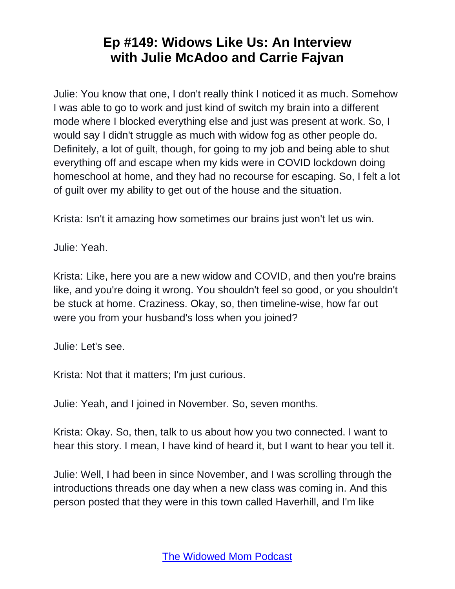Julie: You know that one, I don't really think I noticed it as much. Somehow I was able to go to work and just kind of switch my brain into a different mode where I blocked everything else and just was present at work. So, I would say I didn't struggle as much with widow fog as other people do. Definitely, a lot of guilt, though, for going to my job and being able to shut everything off and escape when my kids were in COVID lockdown doing homeschool at home, and they had no recourse for escaping. So, I felt a lot of guilt over my ability to get out of the house and the situation.

Krista: Isn't it amazing how sometimes our brains just won't let us win.

Julie: Yeah.

Krista: Like, here you are a new widow and COVID, and then you're brains like, and you're doing it wrong. You shouldn't feel so good, or you shouldn't be stuck at home. Craziness. Okay, so, then timeline-wise, how far out were you from your husband's loss when you joined?

Julie: Let's see.

Krista: Not that it matters; I'm just curious.

Julie: Yeah, and I joined in November. So, seven months.

Krista: Okay. So, then, talk to us about how you two connected. I want to hear this story. I mean, I have kind of heard it, but I want to hear you tell it.

Julie: Well, I had been in since November, and I was scrolling through the introductions threads one day when a new class was coming in. And this person posted that they were in this town called Haverhill, and I'm like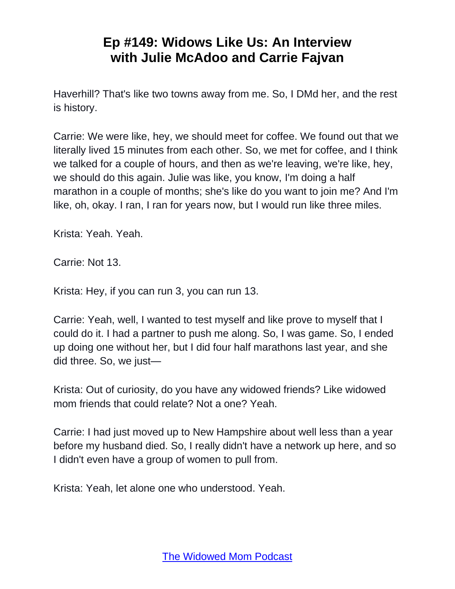Haverhill? That's like two towns away from me. So, I DMd her, and the rest is history.

Carrie: We were like, hey, we should meet for coffee. We found out that we literally lived 15 minutes from each other. So, we met for coffee, and I think we talked for a couple of hours, and then as we're leaving, we're like, hey, we should do this again. Julie was like, you know, I'm doing a half marathon in a couple of months; she's like do you want to join me? And I'm like, oh, okay. I ran, I ran for years now, but I would run like three miles.

Krista: Yeah. Yeah.

Carrie: Not 13.

Krista: Hey, if you can run 3, you can run 13.

Carrie: Yeah, well, I wanted to test myself and like prove to myself that I could do it. I had a partner to push me along. So, I was game. So, I ended up doing one without her, but I did four half marathons last year, and she did three. So, we just—

Krista: Out of curiosity, do you have any widowed friends? Like widowed mom friends that could relate? Not a one? Yeah.

Carrie: I had just moved up to New Hampshire about well less than a year before my husband died. So, I really didn't have a network up here, and so I didn't even have a group of women to pull from.

Krista: Yeah, let alone one who understood. Yeah.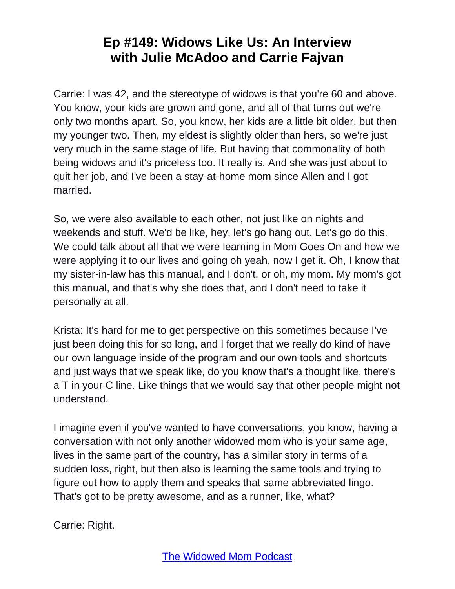Carrie: I was 42, and the stereotype of widows is that you're 60 and above. You know, your kids are grown and gone, and all of that turns out we're only two months apart. So, you know, her kids are a little bit older, but then my younger two. Then, my eldest is slightly older than hers, so we're just very much in the same stage of life. But having that commonality of both being widows and it's priceless too. It really is. And she was just about to quit her job, and I've been a stay-at-home mom since Allen and I got married.

So, we were also available to each other, not just like on nights and weekends and stuff. We'd be like, hey, let's go hang out. Let's go do this. We could talk about all that we were learning in Mom Goes On and how we were applying it to our lives and going oh yeah, now I get it. Oh, I know that my sister-in-law has this manual, and I don't, or oh, my mom. My mom's got this manual, and that's why she does that, and I don't need to take it personally at all.

Krista: It's hard for me to get perspective on this sometimes because I've just been doing this for so long, and I forget that we really do kind of have our own language inside of the program and our own tools and shortcuts and just ways that we speak like, do you know that's a thought like, there's a T in your C line. Like things that we would say that other people might not understand.

I imagine even if you've wanted to have conversations, you know, having a conversation with not only another widowed mom who is your same age, lives in the same part of the country, has a similar story in terms of a sudden loss, right, but then also is learning the same tools and trying to figure out how to apply them and speaks that same abbreviated lingo. That's got to be pretty awesome, and as a runner, like, what?

Carrie: Right.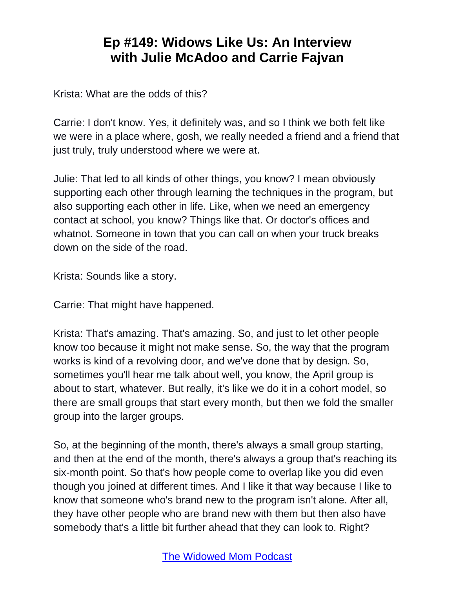Krista: What are the odds of this?

Carrie: I don't know. Yes, it definitely was, and so I think we both felt like we were in a place where, gosh, we really needed a friend and a friend that just truly, truly understood where we were at.

Julie: That led to all kinds of other things, you know? I mean obviously supporting each other through learning the techniques in the program, but also supporting each other in life. Like, when we need an emergency contact at school, you know? Things like that. Or doctor's offices and whatnot. Someone in town that you can call on when your truck breaks down on the side of the road.

Krista: Sounds like a story.

Carrie: That might have happened.

Krista: That's amazing. That's amazing. So, and just to let other people know too because it might not make sense. So, the way that the program works is kind of a revolving door, and we've done that by design. So, sometimes you'll hear me talk about well, you know, the April group is about to start, whatever. But really, it's like we do it in a cohort model, so there are small groups that start every month, but then we fold the smaller group into the larger groups.

So, at the beginning of the month, there's always a small group starting, and then at the end of the month, there's always a group that's reaching its six-month point. So that's how people come to overlap like you did even though you joined at different times. And I like it that way because I like to know that someone who's brand new to the program isn't alone. After all, they have other people who are brand new with them but then also have somebody that's a little bit further ahead that they can look to. Right?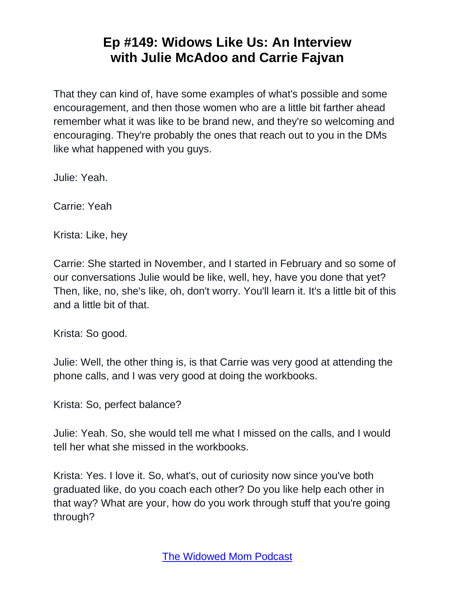That they can kind of, have some examples of what's possible and some encouragement, and then those women who are a little bit farther ahead remember what it was like to be brand new, and they're so welcoming and encouraging. They're probably the ones that reach out to you in the DMs like what happened with you guys.

Julie: Yeah.

Carrie: Yeah

Krista: Like, hey

Carrie: She started in November, and I started in February and so some of our conversations Julie would be like, well, hey, have you done that yet? Then, like, no, she's like, oh, don't worry. You'll learn it. It's a little bit of this and a little bit of that.

Krista: So good.

Julie: Well, the other thing is, is that Carrie was very good at attending the phone calls, and I was very good at doing the workbooks.

Krista: So, perfect balance?

Julie: Yeah. So, she would tell me what I missed on the calls, and I would tell her what she missed in the workbooks.

Krista: Yes. I love it. So, what's, out of curiosity now since you've both graduated like, do you coach each other? Do you like help each other in that way? What are your, how do you work through stuff that you're going through?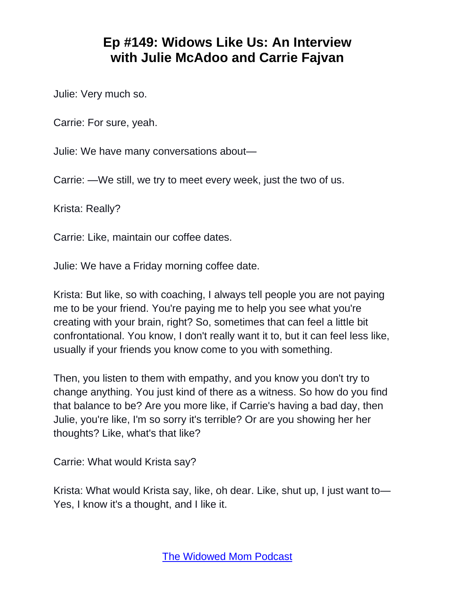Julie: Very much so.

Carrie: For sure, yeah.

Julie: We have many conversations about—

Carrie: —We still, we try to meet every week, just the two of us.

Krista: Really?

Carrie: Like, maintain our coffee dates.

Julie: We have a Friday morning coffee date.

Krista: But like, so with coaching, I always tell people you are not paying me to be your friend. You're paying me to help you see what you're creating with your brain, right? So, sometimes that can feel a little bit confrontational. You know, I don't really want it to, but it can feel less like, usually if your friends you know come to you with something.

Then, you listen to them with empathy, and you know you don't try to change anything. You just kind of there as a witness. So how do you find that balance to be? Are you more like, if Carrie's having a bad day, then Julie, you're like, I'm so sorry it's terrible? Or are you showing her her thoughts? Like, what's that like?

Carrie: What would Krista say?

Krista: What would Krista say, like, oh dear. Like, shut up, I just want to— Yes, I know it's a thought, and I like it.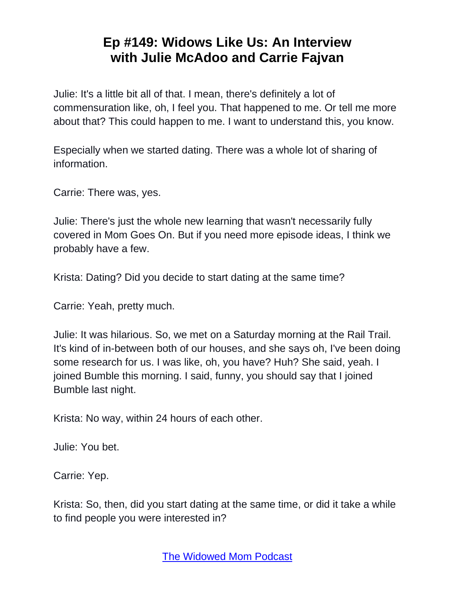Julie: It's a little bit all of that. I mean, there's definitely a lot of commensuration like, oh, I feel you. That happened to me. Or tell me more about that? This could happen to me. I want to understand this, you know.

Especially when we started dating. There was a whole lot of sharing of information.

Carrie: There was, yes.

Julie: There's just the whole new learning that wasn't necessarily fully covered in Mom Goes On. But if you need more episode ideas, I think we probably have a few.

Krista: Dating? Did you decide to start dating at the same time?

Carrie: Yeah, pretty much.

Julie: It was hilarious. So, we met on a Saturday morning at the Rail Trail. It's kind of in-between both of our houses, and she says oh, I've been doing some research for us. I was like, oh, you have? Huh? She said, yeah. I joined Bumble this morning. I said, funny, you should say that I joined Bumble last night.

Krista: No way, within 24 hours of each other.

Julie: You bet.

Carrie: Yep.

Krista: So, then, did you start dating at the same time, or did it take a while to find people you were interested in?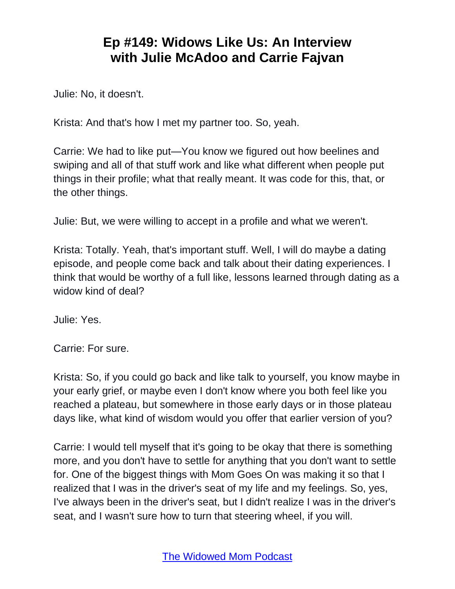Julie: No, it doesn't.

Krista: And that's how I met my partner too. So, yeah.

Carrie: We had to like put—You know we figured out how beelines and swiping and all of that stuff work and like what different when people put things in their profile; what that really meant. It was code for this, that, or the other things.

Julie: But, we were willing to accept in a profile and what we weren't.

Krista: Totally. Yeah, that's important stuff. Well, I will do maybe a dating episode, and people come back and talk about their dating experiences. I think that would be worthy of a full like, lessons learned through dating as a widow kind of deal?

Julie: Yes.

Carrie: For sure.

Krista: So, if you could go back and like talk to yourself, you know maybe in your early grief, or maybe even I don't know where you both feel like you reached a plateau, but somewhere in those early days or in those plateau days like, what kind of wisdom would you offer that earlier version of you?

Carrie: I would tell myself that it's going to be okay that there is something more, and you don't have to settle for anything that you don't want to settle for. One of the biggest things with Mom Goes On was making it so that I realized that I was in the driver's seat of my life and my feelings. So, yes, I've always been in the driver's seat, but I didn't realize I was in the driver's seat, and I wasn't sure how to turn that steering wheel, if you will.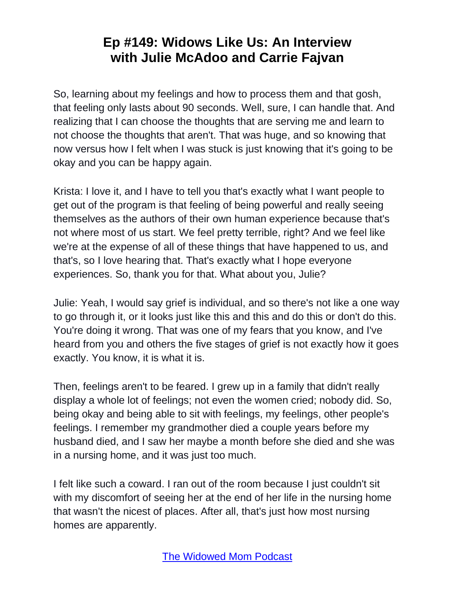So, learning about my feelings and how to process them and that gosh, that feeling only lasts about 90 seconds. Well, sure, I can handle that. And realizing that I can choose the thoughts that are serving me and learn to not choose the thoughts that aren't. That was huge, and so knowing that now versus how I felt when I was stuck is just knowing that it's going to be okay and you can be happy again.

Krista: I love it, and I have to tell you that's exactly what I want people to get out of the program is that feeling of being powerful and really seeing themselves as the authors of their own human experience because that's not where most of us start. We feel pretty terrible, right? And we feel like we're at the expense of all of these things that have happened to us, and that's, so I love hearing that. That's exactly what I hope everyone experiences. So, thank you for that. What about you, Julie?

Julie: Yeah, I would say grief is individual, and so there's not like a one way to go through it, or it looks just like this and this and do this or don't do this. You're doing it wrong. That was one of my fears that you know, and I've heard from you and others the five stages of grief is not exactly how it goes exactly. You know, it is what it is.

Then, feelings aren't to be feared. I grew up in a family that didn't really display a whole lot of feelings; not even the women cried; nobody did. So, being okay and being able to sit with feelings, my feelings, other people's feelings. I remember my grandmother died a couple years before my husband died, and I saw her maybe a month before she died and she was in a nursing home, and it was just too much.

I felt like such a coward. I ran out of the room because I just couldn't sit with my discomfort of seeing her at the end of her life in the nursing home that wasn't the nicest of places. After all, that's just how most nursing homes are apparently.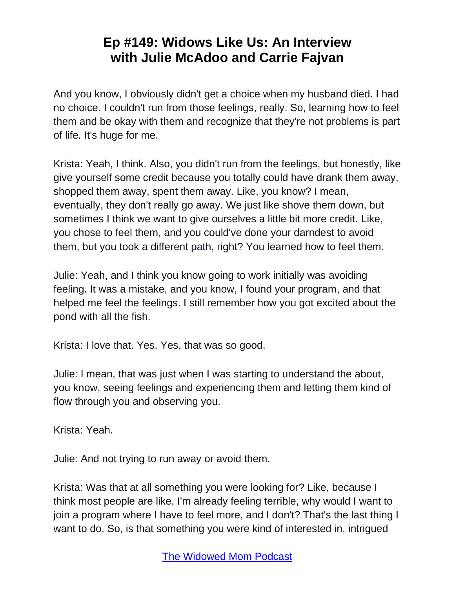And you know, I obviously didn't get a choice when my husband died. I had no choice. I couldn't run from those feelings, really. So, learning how to feel them and be okay with them and recognize that they're not problems is part of life. It's huge for me.

Krista: Yeah, I think. Also, you didn't run from the feelings, but honestly, like give yourself some credit because you totally could have drank them away, shopped them away, spent them away. Like, you know? I mean, eventually, they don't really go away. We just like shove them down, but sometimes I think we want to give ourselves a little bit more credit. Like, you chose to feel them, and you could've done your darndest to avoid them, but you took a different path, right? You learned how to feel them.

Julie: Yeah, and I think you know going to work initially was avoiding feeling. It was a mistake, and you know, I found your program, and that helped me feel the feelings. I still remember how you got excited about the pond with all the fish.

Krista: I love that. Yes. Yes, that was so good.

Julie: I mean, that was just when I was starting to understand the about, you know, seeing feelings and experiencing them and letting them kind of flow through you and observing you.

Krista: Yeah.

Julie: And not trying to run away or avoid them.

Krista: Was that at all something you were looking for? Like, because I think most people are like, I'm already feeling terrible, why would I want to join a program where I have to feel more, and I don't? That's the last thing I want to do. So, is that something you were kind of interested in, intrigued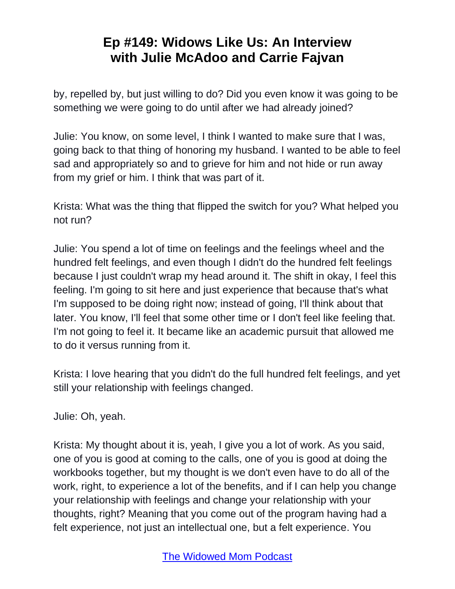by, repelled by, but just willing to do? Did you even know it was going to be something we were going to do until after we had already joined?

Julie: You know, on some level, I think I wanted to make sure that I was, going back to that thing of honoring my husband. I wanted to be able to feel sad and appropriately so and to grieve for him and not hide or run away from my grief or him. I think that was part of it.

Krista: What was the thing that flipped the switch for you? What helped you not run?

Julie: You spend a lot of time on feelings and the feelings wheel and the hundred felt feelings, and even though I didn't do the hundred felt feelings because I just couldn't wrap my head around it. The shift in okay, I feel this feeling. I'm going to sit here and just experience that because that's what I'm supposed to be doing right now; instead of going, I'll think about that later. You know, I'll feel that some other time or I don't feel like feeling that. I'm not going to feel it. It became like an academic pursuit that allowed me to do it versus running from it.

Krista: I love hearing that you didn't do the full hundred felt feelings, and yet still your relationship with feelings changed.

Julie: Oh, yeah.

Krista: My thought about it is, yeah, I give you a lot of work. As you said, one of you is good at coming to the calls, one of you is good at doing the workbooks together, but my thought is we don't even have to do all of the work, right, to experience a lot of the benefits, and if I can help you change your relationship with feelings and change your relationship with your thoughts, right? Meaning that you come out of the program having had a felt experience, not just an intellectual one, but a felt experience. You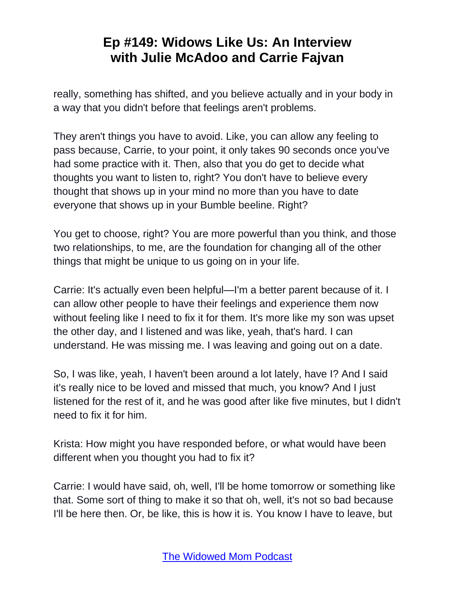really, something has shifted, and you believe actually and in your body in a way that you didn't before that feelings aren't problems.

They aren't things you have to avoid. Like, you can allow any feeling to pass because, Carrie, to your point, it only takes 90 seconds once you've had some practice with it. Then, also that you do get to decide what thoughts you want to listen to, right? You don't have to believe every thought that shows up in your mind no more than you have to date everyone that shows up in your Bumble beeline. Right?

You get to choose, right? You are more powerful than you think, and those two relationships, to me, are the foundation for changing all of the other things that might be unique to us going on in your life.

Carrie: It's actually even been helpful—I'm a better parent because of it. I can allow other people to have their feelings and experience them now without feeling like I need to fix it for them. It's more like my son was upset the other day, and I listened and was like, yeah, that's hard. I can understand. He was missing me. I was leaving and going out on a date.

So, I was like, yeah, I haven't been around a lot lately, have I? And I said it's really nice to be loved and missed that much, you know? And I just listened for the rest of it, and he was good after like five minutes, but I didn't need to fix it for him.

Krista: How might you have responded before, or what would have been different when you thought you had to fix it?

Carrie: I would have said, oh, well, I'll be home tomorrow or something like that. Some sort of thing to make it so that oh, well, it's not so bad because I'll be here then. Or, be like, this is how it is. You know I have to leave, but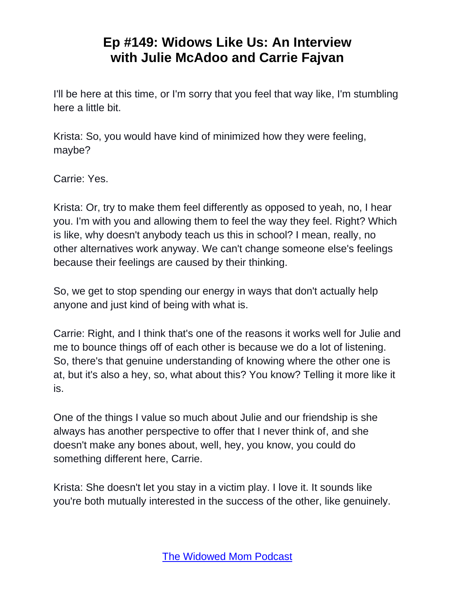I'll be here at this time, or I'm sorry that you feel that way like, I'm stumbling here a little bit.

Krista: So, you would have kind of minimized how they were feeling, maybe?

Carrie: Yes.

Krista: Or, try to make them feel differently as opposed to yeah, no, I hear you. I'm with you and allowing them to feel the way they feel. Right? Which is like, why doesn't anybody teach us this in school? I mean, really, no other alternatives work anyway. We can't change someone else's feelings because their feelings are caused by their thinking.

So, we get to stop spending our energy in ways that don't actually help anyone and just kind of being with what is.

Carrie: Right, and I think that's one of the reasons it works well for Julie and me to bounce things off of each other is because we do a lot of listening. So, there's that genuine understanding of knowing where the other one is at, but it's also a hey, so, what about this? You know? Telling it more like it is.

One of the things I value so much about Julie and our friendship is she always has another perspective to offer that I never think of, and she doesn't make any bones about, well, hey, you know, you could do something different here, Carrie.

Krista: She doesn't let you stay in a victim play. I love it. It sounds like you're both mutually interested in the success of the other, like genuinely.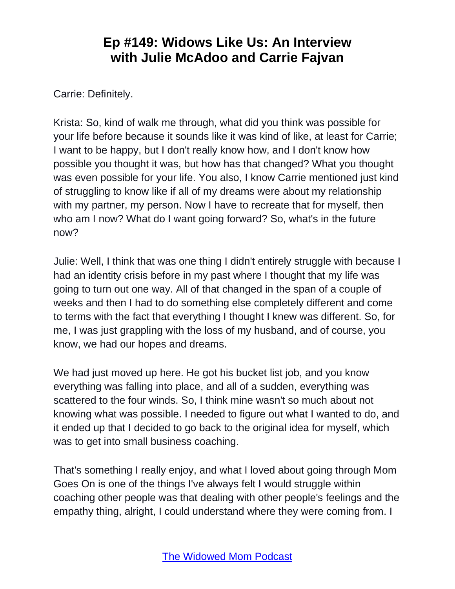Carrie: Definitely.

Krista: So, kind of walk me through, what did you think was possible for your life before because it sounds like it was kind of like, at least for Carrie; I want to be happy, but I don't really know how, and I don't know how possible you thought it was, but how has that changed? What you thought was even possible for your life. You also, I know Carrie mentioned just kind of struggling to know like if all of my dreams were about my relationship with my partner, my person. Now I have to recreate that for myself, then who am I now? What do I want going forward? So, what's in the future now?

Julie: Well, I think that was one thing I didn't entirely struggle with because I had an identity crisis before in my past where I thought that my life was going to turn out one way. All of that changed in the span of a couple of weeks and then I had to do something else completely different and come to terms with the fact that everything I thought I knew was different. So, for me, I was just grappling with the loss of my husband, and of course, you know, we had our hopes and dreams.

We had just moved up here. He got his bucket list job, and you know everything was falling into place, and all of a sudden, everything was scattered to the four winds. So, I think mine wasn't so much about not knowing what was possible. I needed to figure out what I wanted to do, and it ended up that I decided to go back to the original idea for myself, which was to get into small business coaching.

That's something I really enjoy, and what I loved about going through Mom Goes On is one of the things I've always felt I would struggle within coaching other people was that dealing with other people's feelings and the empathy thing, alright, I could understand where they were coming from. I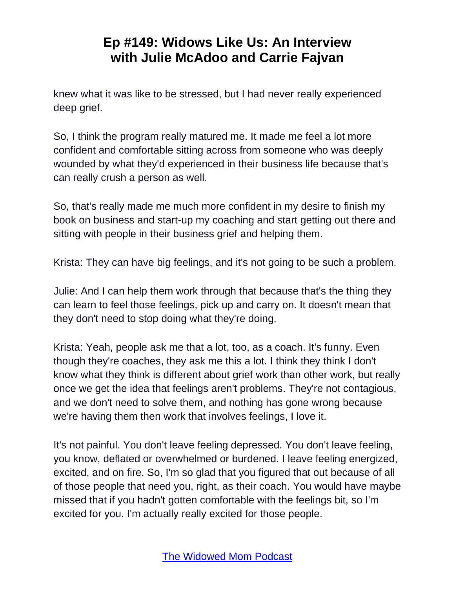knew what it was like to be stressed, but I had never really experienced deep grief.

So, I think the program really matured me. It made me feel a lot more confident and comfortable sitting across from someone who was deeply wounded by what they'd experienced in their business life because that's can really crush a person as well.

So, that's really made me much more confident in my desire to finish my book on business and start-up my coaching and start getting out there and sitting with people in their business grief and helping them.

Krista: They can have big feelings, and it's not going to be such a problem.

Julie: And I can help them work through that because that's the thing they can learn to feel those feelings, pick up and carry on. It doesn't mean that they don't need to stop doing what they're doing.

Krista: Yeah, people ask me that a lot, too, as a coach. It's funny. Even though they're coaches, they ask me this a lot. I think they think I don't know what they think is different about grief work than other work, but really once we get the idea that feelings aren't problems. They're not contagious, and we don't need to solve them, and nothing has gone wrong because we're having them then work that involves feelings, I love it.

It's not painful. You don't leave feeling depressed. You don't leave feeling, you know, deflated or overwhelmed or burdened. I leave feeling energized, excited, and on fire. So, I'm so glad that you figured that out because of all of those people that need you, right, as their coach. You would have maybe missed that if you hadn't gotten comfortable with the feelings bit, so I'm excited for you. I'm actually really excited for those people.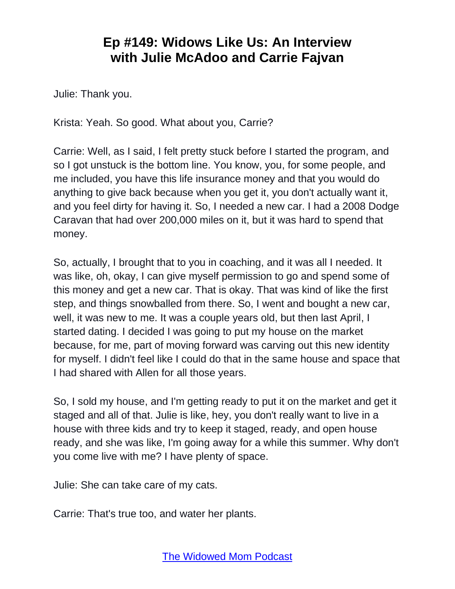Julie: Thank you.

Krista: Yeah. So good. What about you, Carrie?

Carrie: Well, as I said, I felt pretty stuck before I started the program, and so I got unstuck is the bottom line. You know, you, for some people, and me included, you have this life insurance money and that you would do anything to give back because when you get it, you don't actually want it, and you feel dirty for having it. So, I needed a new car. I had a 2008 Dodge Caravan that had over 200,000 miles on it, but it was hard to spend that money.

So, actually, I brought that to you in coaching, and it was all I needed. It was like, oh, okay, I can give myself permission to go and spend some of this money and get a new car. That is okay. That was kind of like the first step, and things snowballed from there. So, I went and bought a new car, well, it was new to me. It was a couple years old, but then last April, I started dating. I decided I was going to put my house on the market because, for me, part of moving forward was carving out this new identity for myself. I didn't feel like I could do that in the same house and space that I had shared with Allen for all those years.

So, I sold my house, and I'm getting ready to put it on the market and get it staged and all of that. Julie is like, hey, you don't really want to live in a house with three kids and try to keep it staged, ready, and open house ready, and she was like, I'm going away for a while this summer. Why don't you come live with me? I have plenty of space.

Julie: She can take care of my cats.

Carrie: That's true too, and water her plants.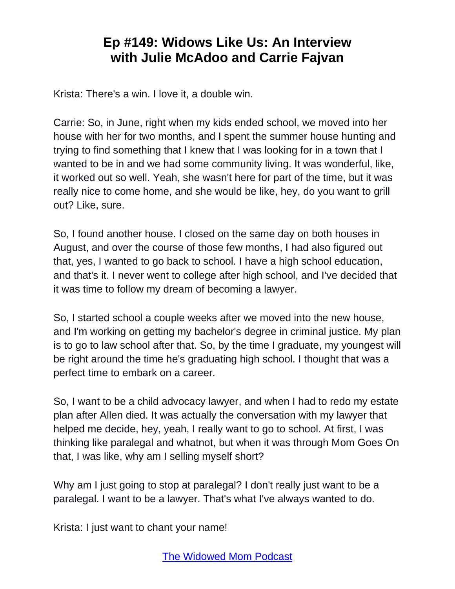Krista: There's a win. I love it, a double win.

Carrie: So, in June, right when my kids ended school, we moved into her house with her for two months, and I spent the summer house hunting and trying to find something that I knew that I was looking for in a town that I wanted to be in and we had some community living. It was wonderful, like, it worked out so well. Yeah, she wasn't here for part of the time, but it was really nice to come home, and she would be like, hey, do you want to grill out? Like, sure.

So, I found another house. I closed on the same day on both houses in August, and over the course of those few months, I had also figured out that, yes, I wanted to go back to school. I have a high school education, and that's it. I never went to college after high school, and I've decided that it was time to follow my dream of becoming a lawyer.

So, I started school a couple weeks after we moved into the new house, and I'm working on getting my bachelor's degree in criminal justice. My plan is to go to law school after that. So, by the time I graduate, my youngest will be right around the time he's graduating high school. I thought that was a perfect time to embark on a career.

So, I want to be a child advocacy lawyer, and when I had to redo my estate plan after Allen died. It was actually the conversation with my lawyer that helped me decide, hey, yeah, I really want to go to school. At first, I was thinking like paralegal and whatnot, but when it was through Mom Goes On that, I was like, why am I selling myself short?

Why am I just going to stop at paralegal? I don't really just want to be a paralegal. I want to be a lawyer. That's what I've always wanted to do.

Krista: I just want to chant your name!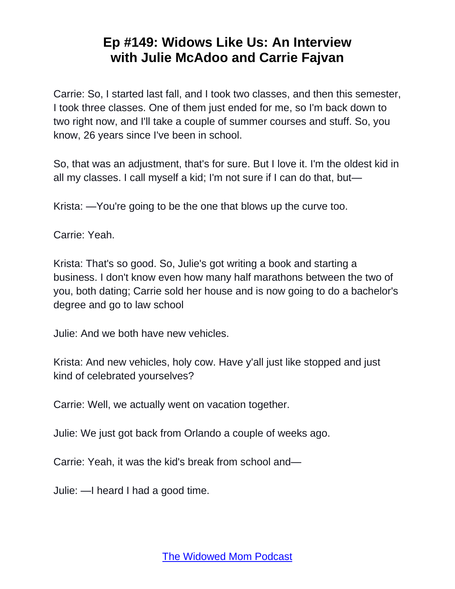Carrie: So, I started last fall, and I took two classes, and then this semester, I took three classes. One of them just ended for me, so I'm back down to two right now, and I'll take a couple of summer courses and stuff. So, you know, 26 years since I've been in school.

So, that was an adjustment, that's for sure. But I love it. I'm the oldest kid in all my classes. I call myself a kid; I'm not sure if I can do that, but—

Krista: —You're going to be the one that blows up the curve too.

Carrie: Yeah.

Krista: That's so good. So, Julie's got writing a book and starting a business. I don't know even how many half marathons between the two of you, both dating; Carrie sold her house and is now going to do a bachelor's degree and go to law school

Julie: And we both have new vehicles.

Krista: And new vehicles, holy cow. Have y'all just like stopped and just kind of celebrated yourselves?

Carrie: Well, we actually went on vacation together.

Julie: We just got back from Orlando a couple of weeks ago.

Carrie: Yeah, it was the kid's break from school and—

Julie: —I heard I had a good time.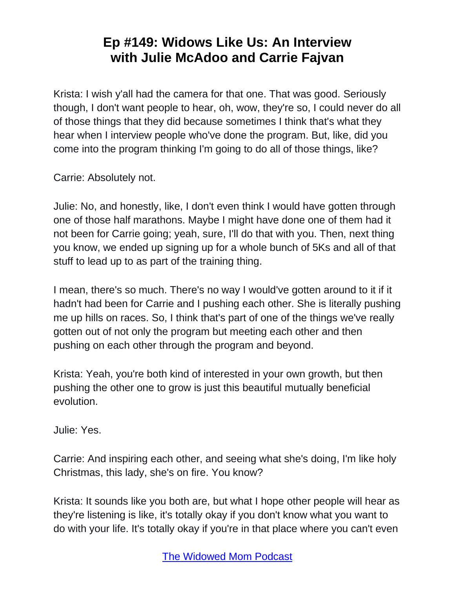Krista: I wish y'all had the camera for that one. That was good. Seriously though, I don't want people to hear, oh, wow, they're so, I could never do all of those things that they did because sometimes I think that's what they hear when I interview people who've done the program. But, like, did you come into the program thinking I'm going to do all of those things, like?

Carrie: Absolutely not.

Julie: No, and honestly, like, I don't even think I would have gotten through one of those half marathons. Maybe I might have done one of them had it not been for Carrie going; yeah, sure, I'll do that with you. Then, next thing you know, we ended up signing up for a whole bunch of 5Ks and all of that stuff to lead up to as part of the training thing.

I mean, there's so much. There's no way I would've gotten around to it if it hadn't had been for Carrie and I pushing each other. She is literally pushing me up hills on races. So, I think that's part of one of the things we've really gotten out of not only the program but meeting each other and then pushing on each other through the program and beyond.

Krista: Yeah, you're both kind of interested in your own growth, but then pushing the other one to grow is just this beautiful mutually beneficial evolution.

Julie: Yes.

Carrie: And inspiring each other, and seeing what she's doing, I'm like holy Christmas, this lady, she's on fire. You know?

Krista: It sounds like you both are, but what I hope other people will hear as they're listening is like, it's totally okay if you don't know what you want to do with your life. It's totally okay if you're in that place where you can't even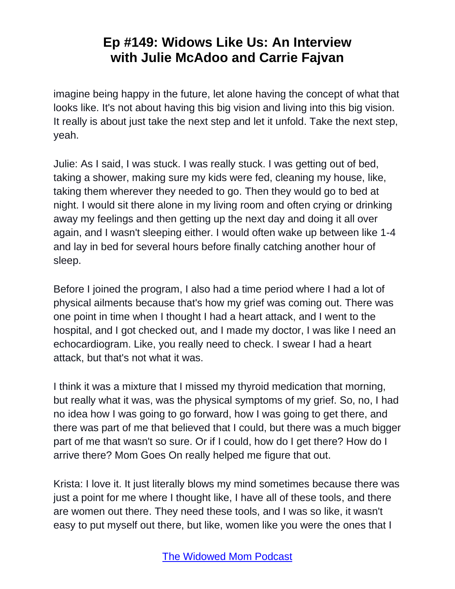imagine being happy in the future, let alone having the concept of what that looks like. It's not about having this big vision and living into this big vision. It really is about just take the next step and let it unfold. Take the next step, yeah.

Julie: As I said, I was stuck. I was really stuck. I was getting out of bed, taking a shower, making sure my kids were fed, cleaning my house, like, taking them wherever they needed to go. Then they would go to bed at night. I would sit there alone in my living room and often crying or drinking away my feelings and then getting up the next day and doing it all over again, and I wasn't sleeping either. I would often wake up between like 1-4 and lay in bed for several hours before finally catching another hour of sleep.

Before I joined the program, I also had a time period where I had a lot of physical ailments because that's how my grief was coming out. There was one point in time when I thought I had a heart attack, and I went to the hospital, and I got checked out, and I made my doctor, I was like I need an echocardiogram. Like, you really need to check. I swear I had a heart attack, but that's not what it was.

I think it was a mixture that I missed my thyroid medication that morning, but really what it was, was the physical symptoms of my grief. So, no, I had no idea how I was going to go forward, how I was going to get there, and there was part of me that believed that I could, but there was a much bigger part of me that wasn't so sure. Or if I could, how do I get there? How do I arrive there? Mom Goes On really helped me figure that out.

Krista: I love it. It just literally blows my mind sometimes because there was just a point for me where I thought like, I have all of these tools, and there are women out there. They need these tools, and I was so like, it wasn't easy to put myself out there, but like, women like you were the ones that I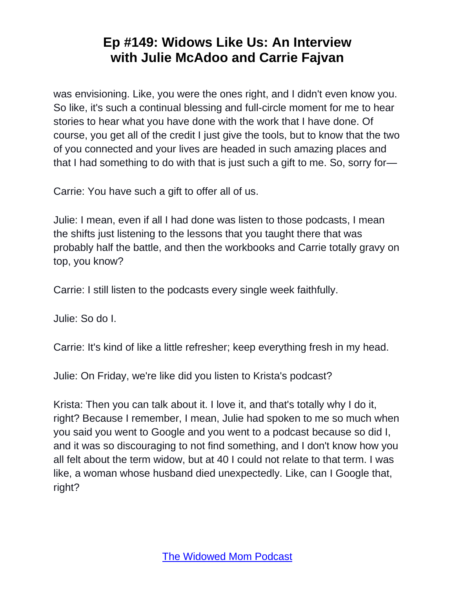was envisioning. Like, you were the ones right, and I didn't even know you. So like, it's such a continual blessing and full-circle moment for me to hear stories to hear what you have done with the work that I have done. Of course, you get all of the credit I just give the tools, but to know that the two of you connected and your lives are headed in such amazing places and that I had something to do with that is just such a gift to me. So, sorry for—

Carrie: You have such a gift to offer all of us.

Julie: I mean, even if all I had done was listen to those podcasts, I mean the shifts just listening to the lessons that you taught there that was probably half the battle, and then the workbooks and Carrie totally gravy on top, you know?

Carrie: I still listen to the podcasts every single week faithfully.

Julie: So do I.

Carrie: It's kind of like a little refresher; keep everything fresh in my head.

Julie: On Friday, we're like did you listen to Krista's podcast?

Krista: Then you can talk about it. I love it, and that's totally why I do it, right? Because I remember, I mean, Julie had spoken to me so much when you said you went to Google and you went to a podcast because so did I, and it was so discouraging to not find something, and I don't know how you all felt about the term widow, but at 40 I could not relate to that term. I was like, a woman whose husband died unexpectedly. Like, can I Google that, right?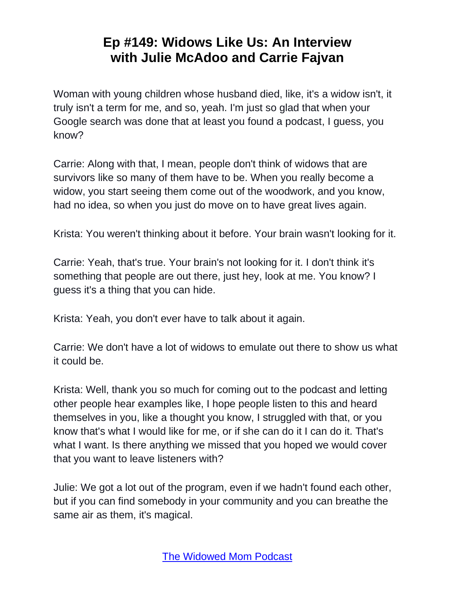Woman with young children whose husband died, like, it's a widow isn't, it truly isn't a term for me, and so, yeah. I'm just so glad that when your Google search was done that at least you found a podcast, I guess, you know?

Carrie: Along with that, I mean, people don't think of widows that are survivors like so many of them have to be. When you really become a widow, you start seeing them come out of the woodwork, and you know, had no idea, so when you just do move on to have great lives again.

Krista: You weren't thinking about it before. Your brain wasn't looking for it.

Carrie: Yeah, that's true. Your brain's not looking for it. I don't think it's something that people are out there, just hey, look at me. You know? I guess it's a thing that you can hide.

Krista: Yeah, you don't ever have to talk about it again.

Carrie: We don't have a lot of widows to emulate out there to show us what it could be.

Krista: Well, thank you so much for coming out to the podcast and letting other people hear examples like, I hope people listen to this and heard themselves in you, like a thought you know, I struggled with that, or you know that's what I would like for me, or if she can do it I can do it. That's what I want. Is there anything we missed that you hoped we would cover that you want to leave listeners with?

Julie: We got a lot out of the program, even if we hadn't found each other, but if you can find somebody in your community and you can breathe the same air as them, it's magical.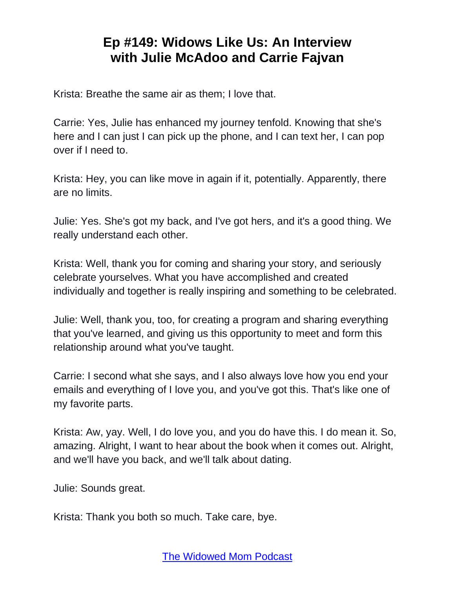Krista: Breathe the same air as them; I love that.

Carrie: Yes, Julie has enhanced my journey tenfold. Knowing that she's here and I can just I can pick up the phone, and I can text her, I can pop over if I need to.

Krista: Hey, you can like move in again if it, potentially. Apparently, there are no limits.

Julie: Yes. She's got my back, and I've got hers, and it's a good thing. We really understand each other.

Krista: Well, thank you for coming and sharing your story, and seriously celebrate yourselves. What you have accomplished and created individually and together is really inspiring and something to be celebrated.

Julie: Well, thank you, too, for creating a program and sharing everything that you've learned, and giving us this opportunity to meet and form this relationship around what you've taught.

Carrie: I second what she says, and I also always love how you end your emails and everything of I love you, and you've got this. That's like one of my favorite parts.

Krista: Aw, yay. Well, I do love you, and you do have this. I do mean it. So, amazing. Alright, I want to hear about the book when it comes out. Alright, and we'll have you back, and we'll talk about dating.

Julie: Sounds great.

Krista: Thank you both so much. Take care, bye.